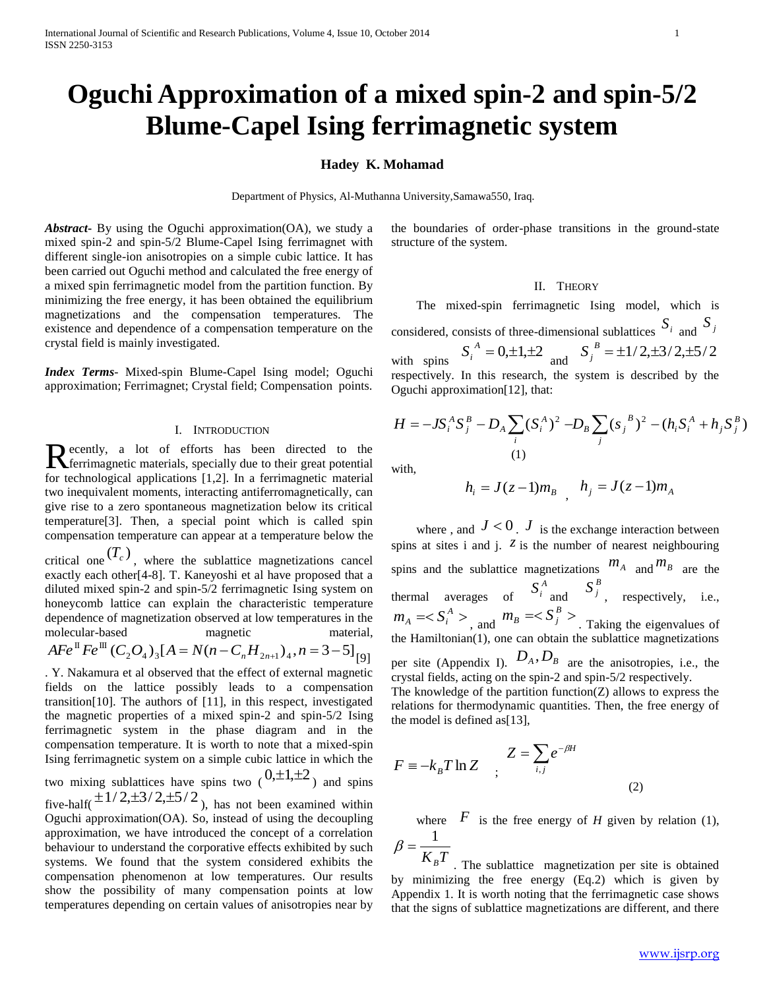# **Oguchi Approximation of a mixed spin-2 and spin-5/2 Blume-Capel Ising ferrimagnetic system**

### **Hadey K. Mohamad**

Department of Physics, Al-Muthanna University,Samawa550, Iraq.

*Abstract***-** By using the Oguchi approximation(OA), we study a mixed spin-2 and spin-5/2 Blume-Capel Ising ferrimagnet with different single-ion anisotropies on a simple cubic lattice. It has been carried out Oguchi method and calculated the free energy of a mixed spin ferrimagnetic model from the partition function. By minimizing the free energy, it has been obtained the equilibrium magnetizations and the compensation temperatures. The existence and dependence of a compensation temperature on the crystal field is mainly investigated.

*Index Terms*- Mixed-spin Blume-Capel Ising model; Oguchi approximation; Ferrimagnet; Crystal field; Compensation points.

### I. INTRODUCTION

ecently, a lot of efforts has been directed to the Recently, a lot of efforts has been directed to the ferrimagnetic materials, specially due to their great potential for technological applications [1,2]. In a ferrimagnetic material two inequivalent moments, interacting antiferromagnetically, can give rise to a zero spontaneous magnetization below its critical temperature[3]. Then, a special point which is called spin compensation temperature can appear at a temperature below the critical one  $(T_c)$ , where the sublattice magnetizations cancel exactly each other[4-8]. T. Kaneyoshi et al have proposed that a diluted mixed spin-2 and spin-5/2 ferrimagnetic Ising system on honeycomb lattice can explain the characteristic temperature dependence of magnetization observed at low temperatures in the molecular-based magnetic material,  $AFe^{II}Fe^{III} (C_2O_4)_3[A = N(n-C_nH_{2n+1})_4, n=3-5]$  [9] . Y. Nakamura et al observed that the effect of external magnetic fields on the lattice possibly leads to a compensation

transition[10]. The authors of [11], in this respect, investigated the magnetic properties of a mixed spin-2 and spin-5/2 Ising ferrimagnetic system in the phase diagram and in the compensation temperature. It is worth to note that a mixed-spin Ising ferrimagnetic system on a simple cubic lattice in which the two mixing sublattices have spins two  $(0,\pm 1,\pm 2)$  and spins five-half( $\pm 1/2, \pm 3/2, \pm 5/2$ ), has not been examined within Oguchi approximation(OA). So, instead of using the decoupling approximation, we have introduced the concept of a correlation

behaviour to understand the corporative effects exhibited by such systems. We found that the system considered exhibits the compensation phenomenon at low temperatures. Our results show the possibility of many compensation points at low temperatures depending on certain values of anisotropies near by

the boundaries of order-phase transitions in the ground-state structure of the system.

### II. THEORY

The mixed-spin ferrimagnetic Ising model, which is considered, consists of three-dimensional sublattices  $S_i$  and  $S_j$ with spins  $S_i^A = 0, \pm 1, \pm 2$  and  $S_j^B = \pm 1/2, \pm 3/2, \pm 5/2$ respectively. In this research, the system is described by the Oguchi approximation[12], that:

$$
H = -JS_i^A S_j^B - D_A \sum_i (S_i^A)^2 - D_B \sum_j (S_j^B)^2 - (h_i S_i^A + h_j S_j^B)
$$
  
(1)

with,

$$
h_i = J(z-1)m_B
$$
,  $h_j = J(z-1)m_A$ 

where , and  $J < 0$ .  $J$  is the exchange interaction between spins at sites i and j.  $\overline{z}$  is the number of nearest neighbouring spins and the sublattice magnetizations  $m_A$  and  $m_B$  are the thermal averages of  $S_i^A$  and  $S_j^B$ , respectively, i.e.,  $m_A$  =  $\langle S_i^A \rangle$ , and  $m_B$  =  $\langle S_j^B \rangle$ . Taking the eigenvalues of the Hamiltonian(1), one can obtain the sublattice magnetizations per site (Appendix I).  $D_A$ ,  $D_B$  are the anisotropies, i.e., the crystal fields, acting on the spin-2 and spin-5/2 respectively. The knowledge of the partition function( $Z$ ) allows to express the

relations for thermodynamic quantities. Then, the free energy of the model is defined as[13],

$$
F \equiv -k_B T \ln Z \quad ; \quad Z = \sum_{i,j} e^{-\beta H} \tag{2}
$$

where  $\overline{F}$  is the free energy of *H* given by relation (1),  $\beta = \frac{1}{\cdots}$ 

 $K_{B}T$ . The sublattice magnetization per site is obtained by minimizing the free energy (Eq.2) which is given by Appendix 1. It is worth noting that the ferrimagnetic case shows that the signs of sublattice magnetizations are different, and there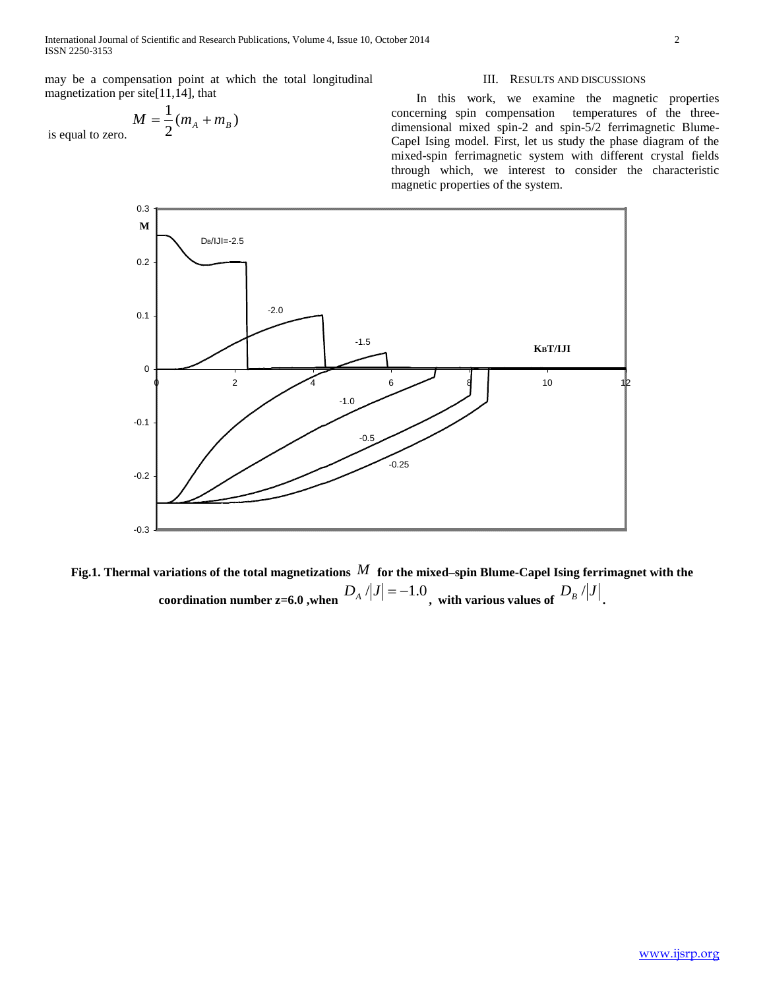International Journal of Scientific and Research Publications, Volume 4, Issue 10, October 2014 2 ISSN 2250-3153

may be a compensation point at which the total longitudinal magnetization per site[11,14], that

$$
M=\frac{1}{2}(m_A+m_B)
$$

is equal to zero.

### III. RESULTS AND DISCUSSIONS

In this work, we examine the magnetic properties concerning spin compensation temperatures of the threedimensional mixed spin-2 and spin-5/2 ferrimagnetic Blume-Capel Ising model. First, let us study the phase diagram of the mixed-spin ferrimagnetic system with different crystal fields through which, we interest to consider the characteristic magnetic properties of the system.



**Fig.1. Thermal variations of the total magnetizations**  *M* **for the mixed–spin Blume-Capel Ising ferrimagnet with the**  coordination number z=6.0 ,when  $D_A / |J| = -1.0$  , with various values of  $D_B / |J|$ .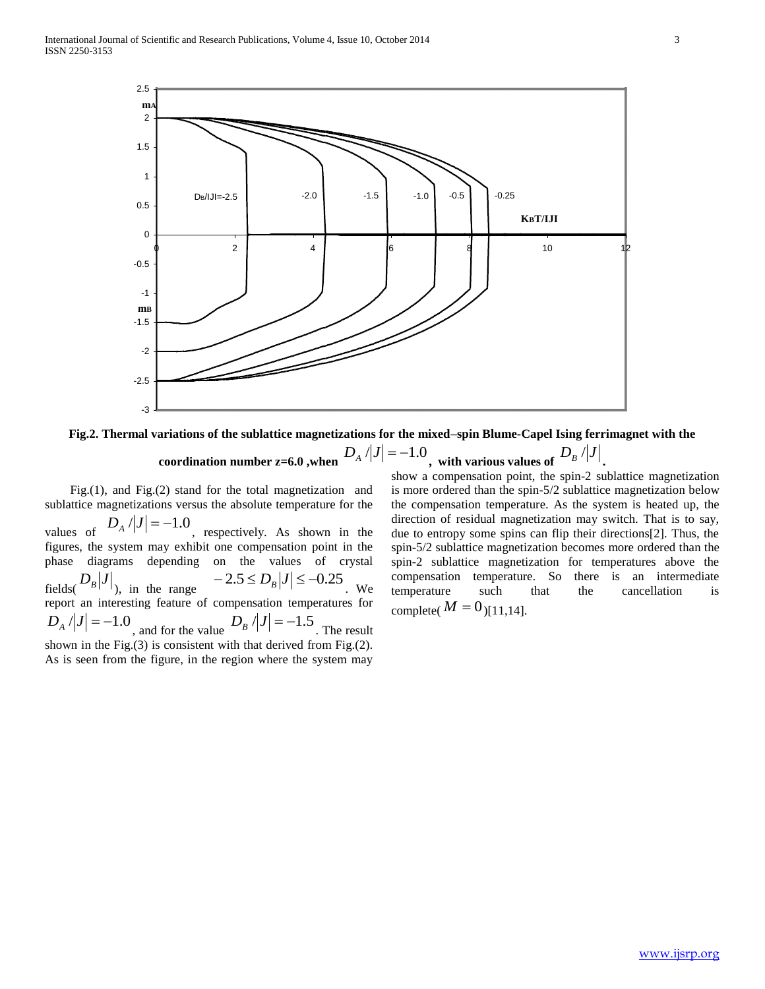

**Fig.2. Thermal variations of the sublattice magnetizations for the mixed–spin Blume-Capel Ising ferrimagnet with the**   $D_A / |J| = -1.0$ , with various values of  $D_B / |J|$ .

### **coordination number z=6.0 ,when**

Fig.(1), and Fig.(2) stand for the total magnetization and sublattice magnetizations versus the absolute temperature for the values of  $D_A / |J| = -1.0$ , respectively. As shown in the figures, the system may exhibit one compensation point in the phase diagrams depending on the values of crystal fields( $D_B|J|$ ), in the range  $-2.5 \le D_B|J| \le -0.25$ . We report an interesting feature of compensation temperatures for  $D_A / |J| = -1.0$ , and for the value  $D_B / |J| = -1.5$ . The result shown in the Fig.(3) is consistent with that derived from Fig.(2). As is seen from the figure, in the region where the system may

show a compensation point, the spin-2 sublattice magnetization is more ordered than the spin-5/2 sublattice magnetization below the compensation temperature. As the system is heated up, the direction of residual magnetization may switch. That is to say, due to entropy some spins can flip their directions[2]. Thus, the spin-5/2 sublattice magnetization becomes more ordered than the spin-2 sublattice magnetization for temperatures above the compensation temperature. So there is an intermediate temperature such that the cancellation is complete( $M = 0$ )[11,14].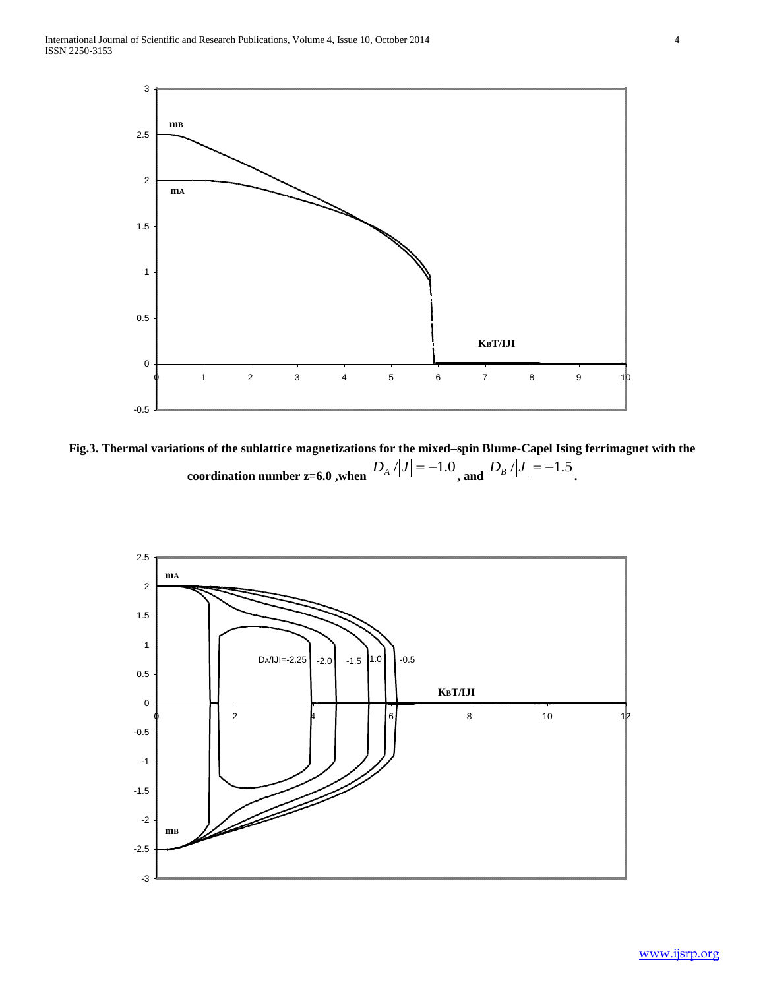

**Fig.3. Thermal variations of the sublattice magnetizations for the mixed–spin Blume-Capel Ising ferrimagnet with the coordination number z=6.0 ,when**  $D_A / |J| = -1.0$  **, and**  $D_B / |J| = -1.5$ **.** 

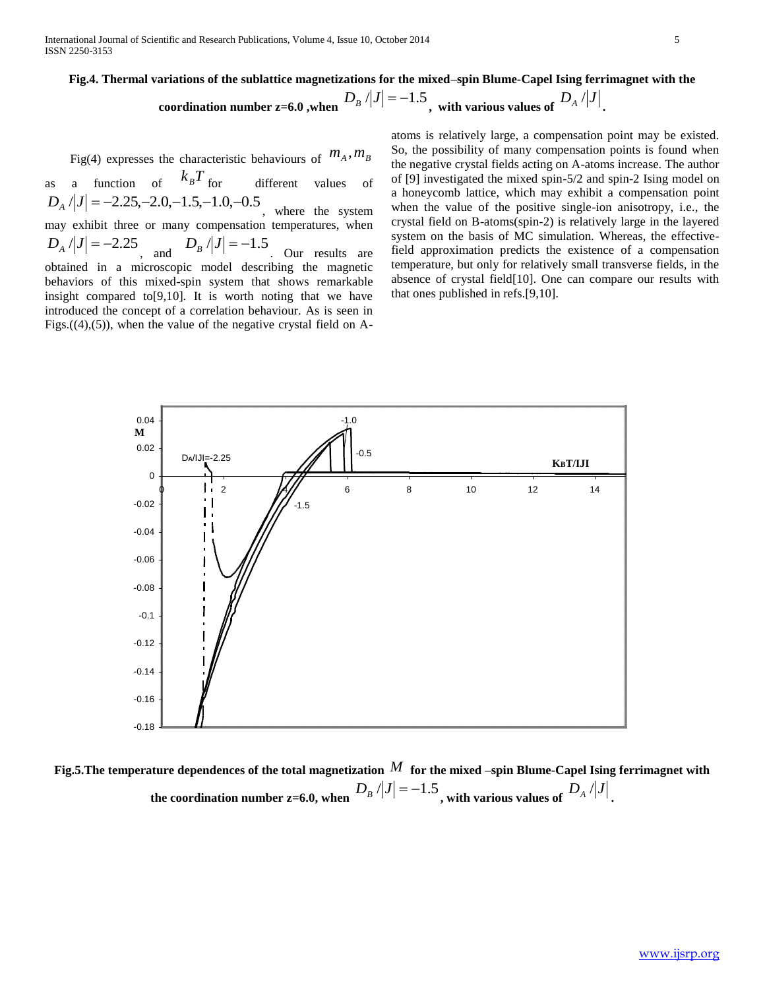## **Fig.4. Thermal variations of the sublattice magnetizations for the mixed–spin Blume-Capel Ising ferrimagnet with the**  coordination number z=6.0 ,when  $D_B / |J| = -1.5$  , with various values of  $D_A / |J|$  .

Fig(4) expresses the characteristic behaviours of  $m_A, m_B$ 

as a function of  $k_B T$ different values of  $D_A / |J| = -2.25, -2.0, -1.5, -1.0, -0.5$ , where the system may exhibit three or many compensation temperatures, when  $D_A / |J| = -2.25$ , and  $D_B / |J| = -1.5$  Our results are obtained in a microscopic model describing the magnetic behaviors of this mixed-spin system that shows remarkable insight compared to[9,10]. It is worth noting that we have introduced the concept of a correlation behaviour. As is seen in Figs. $((4),(5))$ , when the value of the negative crystal field on A-

atoms is relatively large, a compensation point may be existed. So, the possibility of many compensation points is found when the negative crystal fields acting on A-atoms increase. The author of [9] investigated the mixed spin-5/2 and spin-2 Ising model on a honeycomb lattice, which may exhibit a compensation point when the value of the positive single-ion anisotropy, i.e., the crystal field on B-atoms(spin-2) is relatively large in the layered system on the basis of MC simulation. Whereas, the effectivefield approximation predicts the existence of a compensation temperature, but only for relatively small transverse fields, in the absence of crystal field[10]. One can compare our results with that ones published in refs.[9,10].



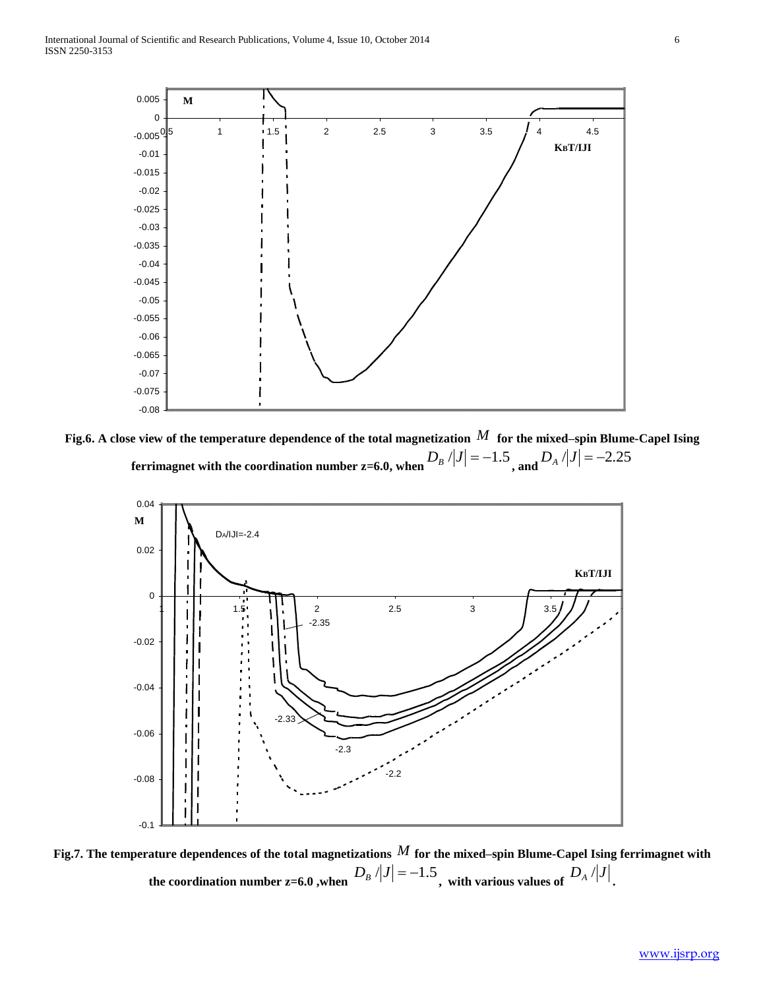

**Fig.6. A close view of the temperature dependence of the total magnetization**  *M* **for the mixed–spin Blume-Capel Ising**  ferrimagnet with the coordination number z=6.0, when  $D_{\scriptscriptstyle B}$  /|J| =  $-1.5$  , and  $D_{\scriptscriptstyle A}$  /|J| =  $-2.25$ 



**Fig.7. The temperature dependences of the total magnetizations**  *M* **for the mixed–spin Blume-Capel Ising ferrimagnet with**  the coordination number z=6.0 ,when  $\left.D_B\right>/\left|J\right|=-1.5$  , with various values of  $\left.D_A\right>/\left|J\right|$  .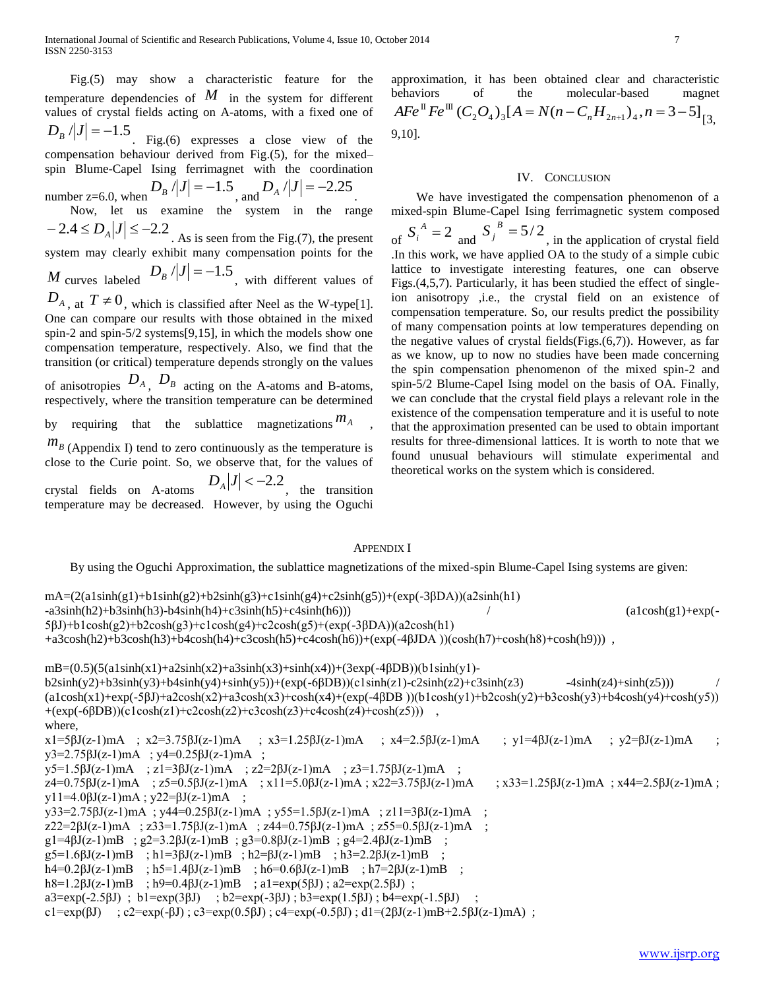International Journal of Scientific and Research Publications, Volume 4, Issue 10, October 2014 7 ISSN 2250-3153

Fig.(5) may show a characteristic feature for the temperature dependencies of  $M$  in the system for different values of crystal fields acting on A-atoms, with a fixed one of  $D_B / |J| = -1.5$ . Fig.(6) expresses a close view of the

compensation behaviour derived from Fig.(5), for the mixed– spin Blume-Capel Ising ferrimagnet with the coordination

number z=6.0, when  $D_B / |J| = -1.5$ , and  $D_A / |J| = -2.25$ .

Now, let us examine the system in the range  $-2.4 \le D_A |J| \le -2.2$ . As is seen from the Fig.(7), the present

system may clearly exhibit many compensation points for the

*M* curves labeled  $D_B / |J| = -1.5$ , with different values of

 $D_{A}$ , at  $T \neq 0$ , which is classified after Neel as the W-type[1]. One can compare our results with those obtained in the mixed spin-2 and spin-5/2 systems[9,15], in which the models show one compensation temperature, respectively. Also, we find that the transition (or critical) temperature depends strongly on the values of anisotropies  $D_A$ ,  $D_B$  acting on the A-atoms and B-atoms, respectively, where the transition temperature can be determined

by requiring that the sublattice magnetizations  $m_A$ ,

 $m<sub>B</sub>$  (Appendix I) tend to zero continuously as the temperature is close to the Curie point. So, we observe that, for the values of crystal fields on A-atoms  $D_A|J| < -2.2$ , the transition temperature may be decreased. However, by using the Oguchi

approximation, it has been obtained clear and characteristic behaviors of the molecular-based magnet  $AFe^{II}Fe^{III} (C_2O_4)_3[A = N(n - C_nH_{2n+1})_4, n = 3-5]_{[3]}$ 9,10].

### IV. CONCLUSION

We have investigated the compensation phenomenon of a mixed-spin Blume-Capel Ising ferrimagnetic system composed of  $S_i^A = 2$  and  $S_j^B = 5/2$ , in the application of crystal field .In this work, we have applied OA to the study of a simple cubic lattice to investigate interesting features, one can observe Figs.(4,5,7). Particularly, it has been studied the effect of singleion anisotropy ,i.e., the crystal field on an existence of compensation temperature. So, our results predict the possibility of many compensation points at low temperatures depending on the negative values of crystal fields(Figs.(6,7)). However, as far as we know, up to now no studies have been made concerning the spin compensation phenomenon of the mixed spin-2 and spin-5/2 Blume-Capel Ising model on the basis of OA. Finally, we can conclude that the crystal field plays a relevant role in the existence of the compensation temperature and it is useful to note that the approximation presented can be used to obtain important results for three-dimensional lattices. It is worth to note that we found unusual behaviours will stimulate experimental and theoretical works on the system which is considered.

### APPENDIX I

By using the Oguchi Approximation, the sublattice magnetizations of the mixed-spin Blume-Capel Ising systems are given:

mA=(2(a1sinh(g1)+b1sinh(g2)+b2sinh(g3)+c1sinh(g4)+c2sinh(g5))+(exp(-3βDA))(a2sinh(h1)  $- a3\sinh(h2) + b3\sinh(h3) - b4\sinh(h4) + c3\sinh(h5) + c4\sinh(h6))$  / (a1cosh(g1)+exp(-5βJ)+b1cosh(g2)+b2cosh(g3)+c1cosh(g4)+c2cosh(g5)+(exp(-3βDA))(a2cosh(h1) +a3cosh(h2)+b3cosh(h3)+b4cosh(h4)+c3cosh(h5)+c4cosh(h6))+(exp(-4βJDA ))(cosh(h7)+cosh(h8)+cosh(h9))) ,  $mB=(0.5)(5(a1\sinh(x1)+a2\sinh(x2)+a3\sinh(x3)+\sinh(x4))+(3exp(-4\beta DB))(b1\sinh(y1)-b1)$  $b2\sinh(y2)+b3\sinh(y3)+b4\sinh(y4)+\sinh(y5)+(exp(-6\beta DB))(c1\sinh(z1)-c2\sinh(z2)+c3\sinh(z3)$  -4sinh(z4)+sinh(z5)))  $(a1\cosh(x1)+\exp(-5\beta J)+a2\cosh(x2)+a3\cosh(x3)+\cosh(x4)+\exp(-4\beta DB))$ (b1cosh(y1)+b2cosh(y2)+b3cosh(y3)+b4cosh(y4)+cosh(y5))  $+(exp(-6\beta DB))(c1cosh(z1)+c2cosh(z2)+c3cosh(z3)+c4cosh(z4)+cosh(z5)))$ where,  $x1=5\beta J(z-1)mA$  ;  $x2=3.75\beta J(z-1)mA$  ;  $x3=1.25\beta J(z-1)mA$  ;  $x4=2.5\beta J(z-1)mA$  ;  $y1=4\beta J(z-1)mA$  ;  $y2=6J(z-1)mA$  ; y3=2.75βJ(z-1)mA ; y4=0.25βJ(z-1)mA ;  $y5=1.5\beta J(z-1)$ mA ; z1=3 $\beta J(z-1)$ mA ; z2=2 $\beta J(z-1)$ mA ; z3=1.75 $\beta J(z-1)$ mA ;  $z4=0.75\beta J(z-1)mA$  ;  $z5=0.5\beta J(z-1)mA$  ;  $x11=5.0\beta J(z-1)mA$ ;  $x22=3.75\beta J(z-1)mA$  ;  $x33=1.25\beta J(z-1)mA$ ;  $x44=2.5\beta J(z-1)mA$ ; y11=4.0βJ(z-1)mA ; y22=βJ(z-1)mA ; y33=2.75βJ(z-1)mA ; y44=0.25βJ(z-1)mA ; y55=1.5βJ(z-1)mA ; z11=3βJ(z-1)mA ;  $z22=2\beta J(z-1)$ mA ;  $z33=1.75\beta J(z-1)$ mA ;  $z44=0.75\beta J(z-1)$ mA ;  $z55=0.5\beta J(z-1)$ mA ; g1=4βJ(z-1)mB ; g2=3.2βJ(z-1)mB ; g3=0.8βJ(z-1)mB ; g4=2.4βJ(z-1)mB ; g5=1.6βJ(z-1)mB ; h1=3βJ(z-1)mB ; h2=βJ(z-1)mB ; h3=2.2βJ(z-1)mB ; h4=0.2βJ(z-1)mB ; h5=1.4βJ(z-1)mB ; h6=0.6βJ(z-1)mB ; h7=2βJ(z-1)mB ; h8=1.2βJ(z-1)mB ; h9=0.4βJ(z-1)mB ; a1=exp(5βJ) ; a2=exp(2.5βJ) ; a3=exp(-2.5βJ); b1=exp(3βJ); b2=exp(-3βJ); b3=exp(1.5βJ); b4=exp(-1.5βJ) c1=exp( $\beta$ J) ; c2=exp(- $\beta$ J); c3=exp(0.5 $\beta$ J); c4=exp(-0.5 $\beta$ J); d1=(2 $\beta$ J(z-1)mB+2.5 $\beta$ J(z-1)mA);